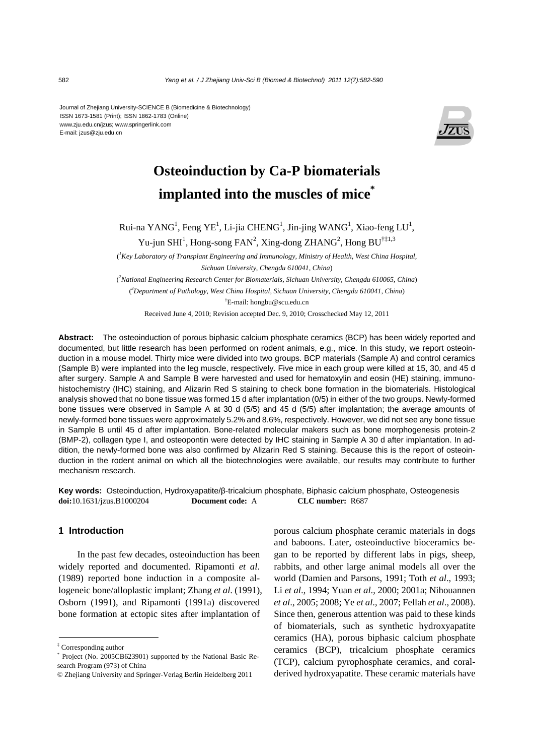Journal of Zhejiang University-SCIENCE B (Biomedicine & Biotechnology) ISSN 1673-1581 (Print); ISSN 1862-1783 (Online) www.zju.edu.cn/jzus; www.springerlink.com E-mail: jzus@zju.edu.cn



# **Osteoinduction by Ca-P biomaterials implanted into the muscles of mice\***

Rui-na YANG<sup>1</sup>, Feng YE<sup>1</sup>, Li-jia CHENG<sup>1</sup>, Jin-jing WANG<sup>1</sup>, Xiao-feng LU<sup>1</sup>,

Yu-jun SHI<sup>1</sup>, Hong-song FAN<sup>2</sup>, Xing-dong ZHANG<sup>2</sup>, Hong BU<sup>†‡1,3</sup>

( *1 Key Laboratory of Transplant Engineering and Immunology, Ministry of Health, West China Hospital, Sichuan University, Chengdu 610041, China*)

( *2 National Engineering Research Center for Biomaterials, Sichuan University, Chengdu 610065, China*) ( *3 Department of Pathology, West China Hospital, Sichuan University, Chengdu 610041, China*)

† E-mail: hongbu@scu.edu.cn

Received June 4, 2010; Revision accepted Dec. 9, 2010; Crosschecked May 12, 2011

**Abstract:** The osteoinduction of porous biphasic calcium phosphate ceramics (BCP) has been widely reported and documented, but little research has been performed on rodent animals, e.g., mice. In this study, we report osteoinduction in a mouse model. Thirty mice were divided into two groups. BCP materials (Sample A) and control ceramics (Sample B) were implanted into the leg muscle, respectively. Five mice in each group were killed at 15, 30, and 45 d after surgery. Sample A and Sample B were harvested and used for hematoxylin and eosin (HE) staining, immunohistochemistry (IHC) staining, and Alizarin Red S staining to check bone formation in the biomaterials. Histological analysis showed that no bone tissue was formed 15 d after implantation (0/5) in either of the two groups. Newly-formed bone tissues were observed in Sample A at 30 d (5/5) and 45 d (5/5) after implantation; the average amounts of newly-formed bone tissues were approximately 5.2% and 8.6%, respectively. However, we did not see any bone tissue in Sample B until 45 d after implantation. Bone-related molecular makers such as bone morphogenesis protein-2 (BMP-2), collagen type I, and osteopontin were detected by IHC staining in Sample A 30 d after implantation. In addition, the newly-formed bone was also confirmed by Alizarin Red S staining. Because this is the report of osteoinduction in the rodent animal on which all the biotechnologies were available, our results may contribute to further mechanism research.

**Key words:** Osteoinduction, Hydroxyapatite/β-tricalcium phosphate, Biphasic calcium phosphate, Osteogenesis **doi:**10.1631/jzus.B1000204 **Document code:** A **CLC number:** R687

# **1 Introduction**

In the past few decades, osteoinduction has been widely reported and documented. Ripamonti *et al*. (1989) reported bone induction in a composite allogeneic bone/alloplastic implant; Zhang *et al*. (1991), Osborn (1991), and Ripamonti (1991a) discovered bone formation at ectopic sites after implantation of

porous calcium phosphate ceramic materials in dogs and baboons. Later, osteoinductive bioceramics began to be reported by different labs in pigs, sheep, rabbits, and other large animal models all over the world (Damien and Parsons, 1991; Toth *et al*., 1993; Li *et al*., 1994; Yuan *et al*., 2000; 2001a; Nihouannen *et al*., 2005; 2008; Ye *et al*., 2007; Fellah *et al*., 2008). Since then, generous attention was paid to these kinds of biomaterials, such as synthetic hydroxyapatite ceramics (HA), porous biphasic calcium phosphate ceramics (BCP), tricalcium phosphate ceramics (TCP), calcium pyrophosphate ceramics, and coralderived hydroxyapatite. These ceramic materials have

<sup>‡</sup> Corresponding author

<sup>\*</sup> Project (No. 2005CB623901) supported by the National Basic Research Program (973) of China

<sup>©</sup> Zhejiang University and Springer-Verlag Berlin Heidelberg 2011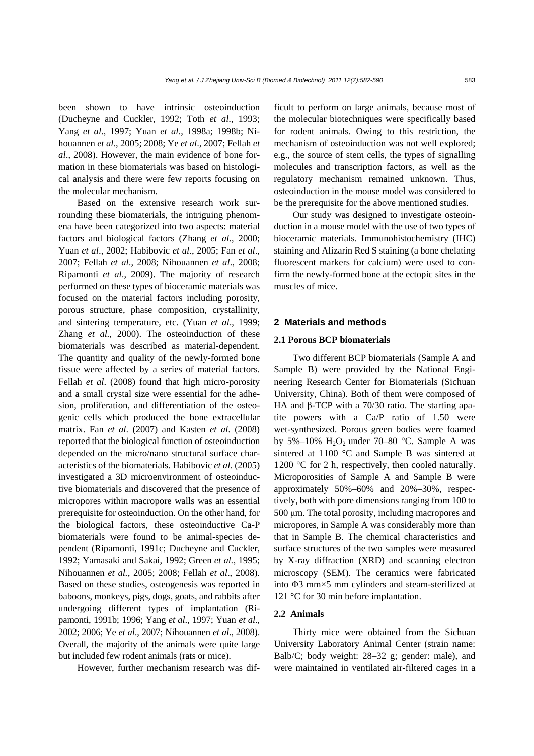been shown to have intrinsic osteoinduction (Ducheyne and Cuckler, 1992; Toth *et al*., 1993; Yang *et al*., 1997; Yuan *et al*., 1998a; 1998b; Nihouannen *et al*., 2005; 2008; Ye *et al*., 2007; Fellah *et al*., 2008). However, the main evidence of bone formation in these biomaterials was based on histological analysis and there were few reports focusing on the molecular mechanism.

Based on the extensive research work surrounding these biomaterials, the intriguing phenomena have been categorized into two aspects: material factors and biological factors (Zhang *et al*., 2000; Yuan *et al*., 2002; Habibovic *et al*., 2005; Fan *et al*., 2007; Fellah *et al*., 2008; Nihouannen *et al*., 2008; Ripamonti *et al*., 2009). The majority of research performed on these types of bioceramic materials was focused on the material factors including porosity, porous structure, phase composition, crystallinity, and sintering temperature, etc. (Yuan *et al*., 1999; Zhang *et al.*, 2000). The osteoinduction of these biomaterials was described as material-dependent. The quantity and quality of the newly-formed bone tissue were affected by a series of material factors. Fellah *et al*. (2008) found that high micro-porosity and a small crystal size were essential for the adhesion, proliferation, and differentiation of the osteogenic cells which produced the bone extracellular matrix. Fan *et al*. (2007) and Kasten *et al*. (2008) reported that the biological function of osteoinduction depended on the micro/nano structural surface characteristics of the biomaterials. Habibovic *et al*. (2005) investigated a 3D microenvironment of osteoinductive biomaterials and discovered that the presence of micropores within macropore walls was an essential prerequisite for osteoinduction. On the other hand, for the biological factors, these osteoinductive Ca-P biomaterials were found to be animal-species dependent (Ripamonti, 1991c; Ducheyne and Cuckler, 1992; Yamasaki and Sakai, 1992; Green *et al.*, 1995; Nihouannen *et al.*, 2005; 2008; Fellah *et al*., 2008). Based on these studies, osteogenesis was reported in baboons, monkeys, pigs, dogs, goats, and rabbits after undergoing different types of implantation (Ripamonti, 1991b; 1996; Yang *et al*., 1997; Yuan *et al*., 2002; 2006; Ye *et al*., 2007; Nihouannen *et al*., 2008). Overall, the majority of the animals were quite large but included few rodent animals (rats or mice).

However, further mechanism research was dif-

ficult to perform on large animals, because most of the molecular biotechniques were specifically based for rodent animals. Owing to this restriction, the mechanism of osteoinduction was not well explored; e.g., the source of stem cells, the types of signalling molecules and transcription factors, as well as the regulatory mechanism remained unknown. Thus, osteoinduction in the mouse model was considered to be the prerequisite for the above mentioned studies.

Our study was designed to investigate osteoinduction in a mouse model with the use of two types of bioceramic materials. Immunohistochemistry (IHC) staining and Alizarin Red S staining (a bone chelating fluorescent markers for calcium) were used to confirm the newly-formed bone at the ectopic sites in the muscles of mice.

# **2 Materials and methods**

# **2.1 Porous BCP biomaterials**

Two different BCP biomaterials (Sample A and Sample B) were provided by the National Engineering Research Center for Biomaterials (Sichuan University, China). Both of them were composed of HA and β-TCP with a 70/30 ratio. The starting apatite powers with a Ca/P ratio of 1.50 were wet-synthesized. Porous green bodies were foamed by 5%–10%  $H_2O_2$  under 70–80 °C. Sample A was sintered at 1100 °C and Sample B was sintered at 1200 °C for 2 h, respectively, then cooled naturally. Microporosities of Sample A and Sample B were approximately 50%–60% and 20%–30%, respectively, both with pore dimensions ranging from 100 to 500 μm. The total porosity, including macropores and micropores, in Sample A was considerably more than that in Sample B. The chemical characteristics and surface structures of the two samples were measured by X-ray diffraction (XRD) and scanning electron microscopy (SEM). The ceramics were fabricated into Φ3 mm×5 mm cylinders and steam-sterilized at 121 °C for 30 min before implantation.

#### **2.2 Animals**

Thirty mice were obtained from the Sichuan University Laboratory Animal Center (strain name: Balb/C; body weight: 28–32 g; gender: male), and were maintained in ventilated air-filtered cages in a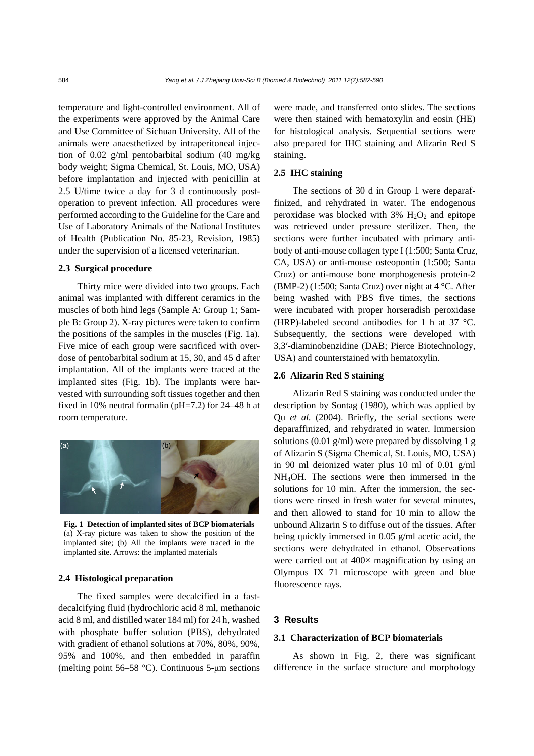temperature and light-controlled environment. All of the experiments were approved by the Animal Care and Use Committee of Sichuan University. All of the animals were anaesthetized by intraperitoneal injection of 0.02 g/ml pentobarbital sodium (40 mg/kg body weight; Sigma Chemical, St. Louis, MO, USA) before implantation and injected with penicillin at 2.5 U/time twice a day for 3 d continuously postoperation to prevent infection. All procedures were performed according to the Guideline for the Care and Use of Laboratory Animals of the National Institutes of Health (Publication No. 85-23, Revision, 1985) under the supervision of a licensed veterinarian.

#### **2.3 Surgical procedure**

Thirty mice were divided into two groups. Each animal was implanted with different ceramics in the muscles of both hind legs (Sample A: Group 1; Sample B: Group 2). X-ray pictures were taken to confirm the positions of the samples in the muscles (Fig. 1a). Five mice of each group were sacrificed with overdose of pentobarbital sodium at 15, 30, and 45 d after implantation. All of the implants were traced at the implanted sites (Fig. 1b). The implants were harvested with surrounding soft tissues together and then fixed in 10% neutral formalin (pH=7.2) for 24–48 h at room temperature.



**Fig. 1 Detection of implanted sites of BCP biomaterials** (a) X-ray picture was taken to show the position of the implanted site; (b) All the implants were traced in the implanted site. Arrows: the implanted materials

## **2.4 Histological preparation**

The fixed samples were decalcified in a fastdecalcifying fluid (hydrochloric acid 8 ml, methanoic acid 8 ml, and distilled water 184 ml) for 24 h, washed with phosphate buffer solution (PBS), dehydrated with gradient of ethanol solutions at 70%, 80%, 90%, 95% and 100%, and then embedded in paraffin (melting point 56–58 °C). Continuous 5-μm sections

were made, and transferred onto slides. The sections were then stained with hematoxylin and eosin (HE) for histological analysis. Sequential sections were also prepared for IHC staining and Alizarin Red S staining.

# **2.5 IHC staining**

The sections of 30 d in Group 1 were deparaffinized, and rehydrated in water. The endogenous peroxidase was blocked with  $3\%$  H<sub>2</sub>O<sub>2</sub> and epitope was retrieved under pressure sterilizer. Then, the sections were further incubated with primary antibody of anti-mouse collagen type I (1:500; Santa Cruz, CA, USA) or anti-mouse osteopontin (1:500; Santa Cruz) or anti-mouse bone morphogenesis protein-2 (BMP-2) (1:500; Santa Cruz) over night at 4 °C. After being washed with PBS five times, the sections were incubated with proper horseradish peroxidase (HRP)-labeled second antibodies for 1 h at 37 °C. Subsequently, the sections were developed with 3,3′-diaminobenzidine (DAB; Pierce Biotechnology, USA) and counterstained with hematoxylin.

#### **2.6 Alizarin Red S staining**

Alizarin Red S staining was conducted under the description by Sontag (1980), which was applied by Qu *et al.* (2004). Briefly, the serial sections were deparaffinized, and rehydrated in water. Immersion solutions (0.01 g/ml) were prepared by dissolving 1 g of Alizarin S (Sigma Chemical, St. Louis, MO, USA) in 90 ml deionized water plus 10 ml of 0.01 g/ml NH4OH. The sections were then immersed in the solutions for 10 min. After the immersion, the sections were rinsed in fresh water for several minutes, and then allowed to stand for 10 min to allow the unbound Alizarin S to diffuse out of the tissues. After being quickly immersed in 0.05 g/ml acetic acid, the sections were dehydrated in ethanol. Observations were carried out at  $400\times$  magnification by using an Olympus IX 71 microscope with green and blue fluorescence rays.

### **3 Results**

#### **3.1 Characterization of BCP biomaterials**

As shown in Fig. 2, there was significant difference in the surface structure and morphology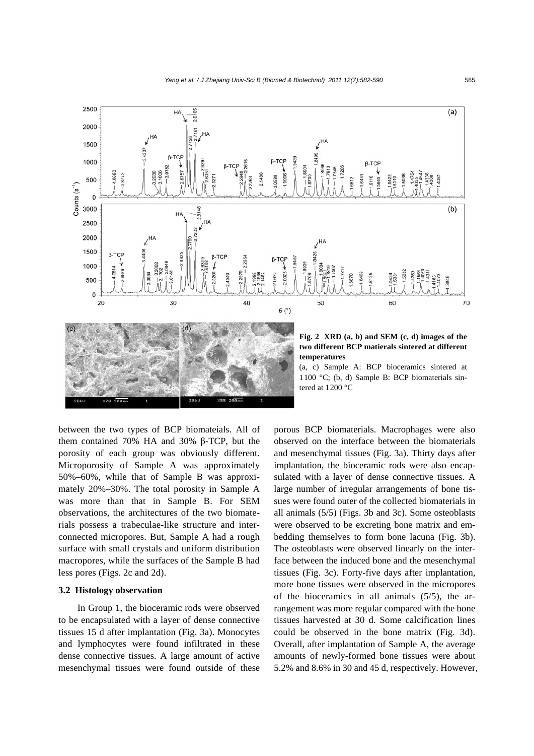

between the two types of BCP biomateials. All of them contained 70% HA and 30% β-TCP, but the porosity of each group was obviously different. Microporosity of Sample A was approximately 50%–60%, while that of Sample B was approximately 20%–30%. The total porosity in Sample A was more than that in Sample B. For SEM observations, the architectures of the two biomaterials possess a trabeculae-like structure and interconnected micropores. But, Sample A had a rough surface with small crystals and uniform distribution macropores, while the surfaces of the Sample B had less pores (Figs. 2c and 2d).

# **3.2 Histology observation**

In Group 1, the bioceramic rods were observed to be encapsulated with a layer of dense connective tissues 15 d after implantation (Fig. 3a). Monocytes and lymphocytes were found infiltrated in these dense connective tissues. A large amount of active mesenchymal tissues were found outside of these

porous BCP biomaterials. Macrophages were also observed on the interface between the biomaterials and mesenchymal tissues (Fig. 3a). Thirty days after implantation, the bioceramic rods were also encapsulated with a layer of dense connective tissues. A large number of irregular arrangements of bone tissues were found outer of the collected biomaterials in all animals (5/5) (Figs. 3b and 3c). Some osteoblasts were observed to be excreting bone matrix and embedding themselves to form bone lacuna (Fig. 3b). The osteoblasts were observed linearly on the interface between the induced bone and the mesenchymal tissues (Fig. 3c). Forty-five days after implantation, more bone tissues were observed in the micropores of the bioceramics in all animals (5/5), the arrangement was more regular compared with the bone tissues harvested at 30 d. Some calcification lines could be observed in the bone matrix (Fig. 3d). Overall, after implantation of Sample A, the average amounts of newly-formed bone tissues were about 5.2% and 8.6% in 30 and 45 d, respectively. However,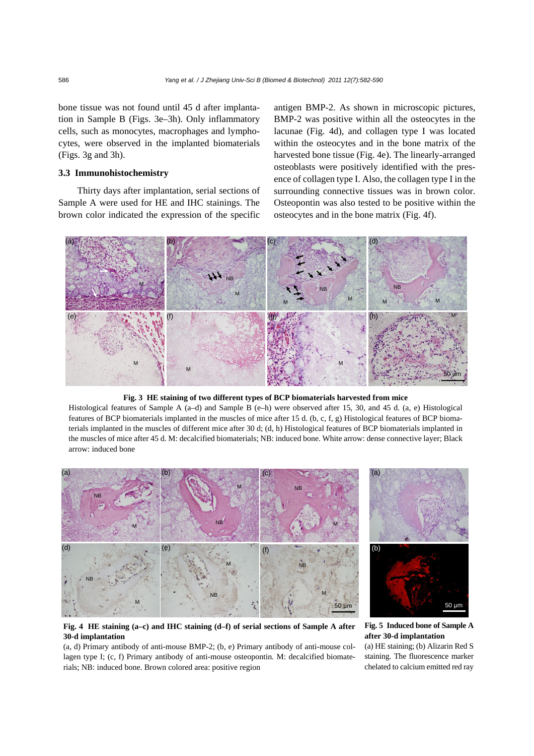bone tissue was not found until 45 d after implantation in Sample B (Figs. 3e–3h). Only inflammatory cells, such as monocytes, macrophages and lymphocytes, were observed in the implanted biomaterials (Figs. 3g and 3h).

# **3.3 Immunohistochemistry**

Thirty days after implantation, serial sections of Sample A were used for HE and IHC stainings. The brown color indicated the expression of the specific antigen BMP-2. As shown in microscopic pictures, BMP-2 was positive within all the osteocytes in the lacunae (Fig. 4d), and collagen type I was located within the osteocytes and in the bone matrix of the harvested bone tissue (Fig. 4e). The linearly-arranged osteoblasts were positively identified with the presence of collagen type I. Also, the collagen type I in the surrounding connective tissues was in brown color. Osteopontin was also tested to be positive within the osteocytes and in the bone matrix (Fig. 4f).



**Fig. 3 HE staining of two different types of BCP biomaterials harvested from mice** 

Histological features of Sample A (a–d) and Sample B (e–h) were observed after 15, 30, and 45 d. (a, e) Histological features of BCP biomaterials implanted in the muscles of mice after 15 d. (b, c, f, g) Histological features of BCP biomaterials implanted in the muscles of different mice after 30 d; (d, h) Histological features of BCP biomaterials implanted in the muscles of mice after 45 d. M: decalcified biomaterials; NB: induced bone. White arrow: dense connective layer; Black arrow: induced bone



**Fig. 4 HE staining (a–c) and IHC staining (d–f) of serial sections of Sample A after 30-d implantation** 

(a, d) Primary antibody of anti-mouse BMP-2; (b, e) Primary antibody of anti-mouse collagen type I; (c, f) Primary antibody of anti-mouse osteopontin. M: decalcified biomaterials; NB: induced bone. Brown colored area: positive region

# **Fig. 5 Induced bone of Sample A after 30-d implantation**

(a) HE staining; (b) Alizarin Red S staining. The fluorescence marker chelated to calcium emitted red ray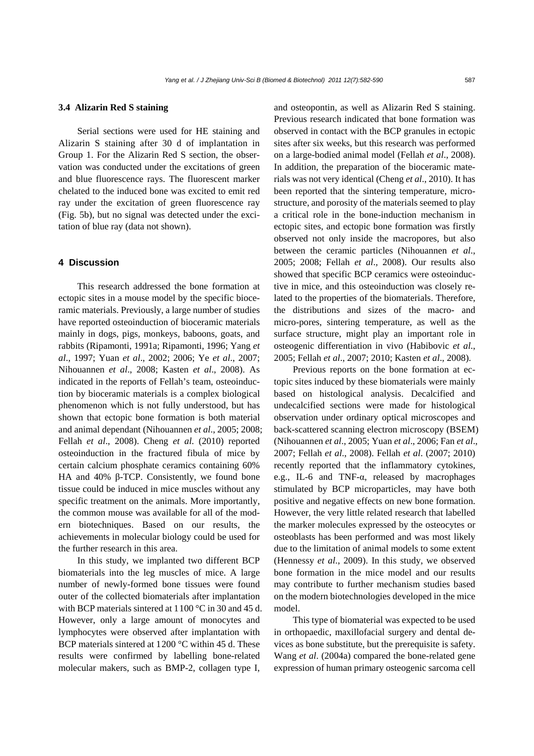#### **3.4 Alizarin Red S staining**

Serial sections were used for HE staining and Alizarin S staining after 30 d of implantation in Group 1. For the Alizarin Red S section, the observation was conducted under the excitations of green and blue fluorescence rays. The fluorescent marker chelated to the induced bone was excited to emit red ray under the excitation of green fluorescence ray (Fig. 5b), but no signal was detected under the excitation of blue ray (data not shown).

# **4 Discussion**

This research addressed the bone formation at ectopic sites in a mouse model by the specific bioceramic materials. Previously, a large number of studies have reported osteoinduction of bioceramic materials mainly in dogs, pigs, monkeys, baboons, goats, and rabbits (Ripamonti, 1991a; Ripamonti, 1996; Yang *et al*., 1997; Yuan *et al*., 2002; 2006; Ye *et al*., 2007; Nihouannen *et al*., 2008; Kasten *et al*., 2008). As indicated in the reports of Fellah's team, osteoinduction by bioceramic materials is a complex biological phenomenon which is not fully understood, but has shown that ectopic bone formation is both material and animal dependant (Nihouannen *et al*., 2005; 2008; Fellah *et al*., 2008). Cheng *et al*. (2010) reported osteoinduction in the fractured fibula of mice by certain calcium phosphate ceramics containing 60% HA and 40% β-TCP. Consistently, we found bone tissue could be induced in mice muscles without any specific treatment on the animals. More importantly, the common mouse was available for all of the modern biotechniques. Based on our results, the achievements in molecular biology could be used for the further research in this area.

In this study, we implanted two different BCP biomaterials into the leg muscles of mice. A large number of newly-formed bone tissues were found outer of the collected biomaterials after implantation with BCP materials sintered at 1100 °C in 30 and 45 d. However, only a large amount of monocytes and lymphocytes were observed after implantation with BCP materials sintered at 1200 °C within 45 d. These results were confirmed by labelling bone-related molecular makers, such as BMP-2, collagen type I,

and osteopontin, as well as Alizarin Red S staining. Previous research indicated that bone formation was observed in contact with the BCP granules in ectopic sites after six weeks, but this research was performed on a large-bodied animal model (Fellah *et al*., 2008). In addition, the preparation of the bioceramic materials was not very identical (Cheng *et al*., 2010). It has been reported that the sintering temperature, microstructure, and porosity of the materials seemed to play a critical role in the bone-induction mechanism in ectopic sites, and ectopic bone formation was firstly observed not only inside the macropores, but also between the ceramic particles (Nihouannen *et al*., 2005; 2008; Fellah *et al*., 2008). Our results also showed that specific BCP ceramics were osteoinductive in mice, and this osteoinduction was closely related to the properties of the biomaterials. Therefore, the distributions and sizes of the macro- and micro-pores, sintering temperature, as well as the surface structure, might play an important role in osteogenic differentiation in vivo (Habibovic *et al*., 2005; Fellah *et al*., 2007; 2010; Kasten *et al*., 2008).

Previous reports on the bone formation at ectopic sites induced by these biomaterials were mainly based on histological analysis. Decalcified and undecalcified sections were made for histological observation under ordinary optical microscopes and back-scattered scanning electron microscopy (BSEM) (Nihouannen *et al*., 2005; Yuan *et al*., 2006; Fan *et al*., 2007; Fellah *et al*., 2008). Fellah *et al*. (2007; 2010) recently reported that the inflammatory cytokines, e.g., IL-6 and TNF-α, released by macrophages stimulated by BCP microparticles, may have both positive and negative effects on new bone formation. However, the very little related research that labelled the marker molecules expressed by the osteocytes or osteoblasts has been performed and was most likely due to the limitation of animal models to some extent (Hennessy *et al*., 2009). In this study, we observed bone formation in the mice model and our results may contribute to further mechanism studies based on the modern biotechnologies developed in the mice model.

This type of biomaterial was expected to be used in orthopaedic, maxillofacial surgery and dental devices as bone substitute, but the prerequisite is safety. Wang *et al*. (2004a) compared the bone-related gene expression of human primary osteogenic sarcoma cell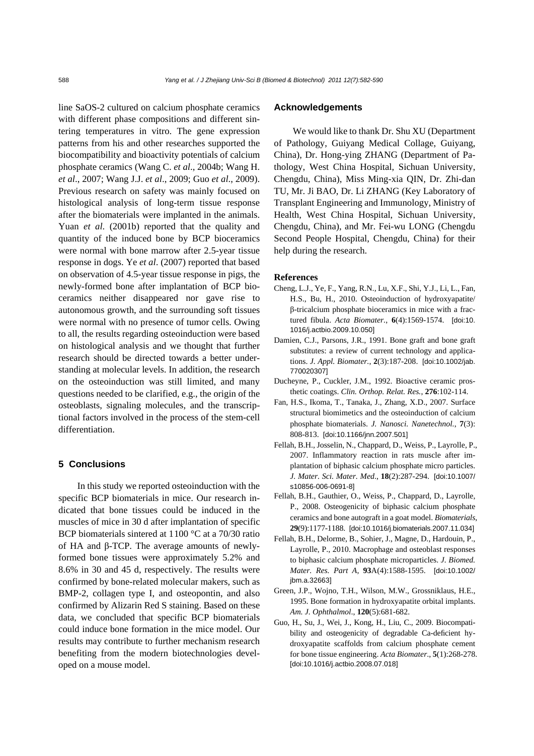line SaOS-2 cultured on calcium phosphate ceramics with different phase compositions and different sintering temperatures in vitro. The gene expression patterns from his and other researches supported the biocompatibility and bioactivity potentials of calcium phosphate ceramics (Wang C. *et al*., 2004b; Wang H. *et al*., 2007; Wang J.J. *et al*., 2009; Guo *et al*., 2009). Previous research on safety was mainly focused on histological analysis of long-term tissue response after the biomaterials were implanted in the animals. Yuan *et al*. (2001b) reported that the quality and quantity of the induced bone by BCP bioceramics were normal with bone marrow after 2.5-year tissue response in dogs. Ye *et al*. (2007) reported that based on observation of 4.5-year tissue response in pigs, the newly-formed bone after implantation of BCP bioceramics neither disappeared nor gave rise to autonomous growth, and the surrounding soft tissues were normal with no presence of tumor cells. Owing to all, the results regarding osteoinduction were based on histological analysis and we thought that further research should be directed towards a better understanding at molecular levels. In addition, the research on the osteoinduction was still limited, and many questions needed to be clarified, e.g., the origin of the osteoblasts, signaling molecules, and the transcriptional factors involved in the process of the stem-cell differentiation.

# **5 Conclusions**

In this study we reported osteoinduction with the specific BCP biomaterials in mice. Our research indicated that bone tissues could be induced in the muscles of mice in 30 d after implantation of specific BCP biomaterials sintered at 1100 °C at a 70/30 ratio of HA and β-TCP. The average amounts of newlyformed bone tissues were approximately 5.2% and 8.6% in 30 and 45 d, respectively. The results were confirmed by bone-related molecular makers, such as BMP-2, collagen type I, and osteopontin, and also confirmed by Alizarin Red S staining. Based on these data, we concluded that specific BCP biomaterials could induce bone formation in the mice model. Our results may contribute to further mechanism research benefiting from the modern biotechnologies developed on a mouse model.

#### **Acknowledgements**

We would like to thank Dr. Shu XU (Department of Pathology, Guiyang Medical Collage, Guiyang, China), Dr. Hong-ying ZHANG (Department of Pathology, West China Hospital, Sichuan University, Chengdu, China), Miss Ming-xia QIN, Dr. Zhi-dan TU, Mr. Ji BAO, Dr. Li ZHANG (Key Laboratory of Transplant Engineering and Immunology, Ministry of Health, West China Hospital, Sichuan University, Chengdu, China), and Mr. Fei-wu LONG (Chengdu Second People Hospital, Chengdu, China) for their help during the research.

#### **References**

- Cheng, L.J., Ye, F., Yang, R.N., Lu, X.F., Shi, Y.J., Li, L., Fan, H.S., Bu, H., 2010. Osteoinduction of hydroxyapatite/ β-tricalcium phosphate bioceramics in mice with a fractured fibula. *Acta Biomater.*, **6**(4):1569-1574. [doi:10. 1016/j.actbio.2009.10.050]
- Damien, C.J., Parsons, J.R., 1991. Bone graft and bone graft substitutes: a review of current technology and applications. *J. Appl. Biomater.*, **2**(3):187-208. [doi:10.1002/jab. 770020307]
- Ducheyne, P., Cuckler, J.M., 1992. Bioactive ceramic prosthetic coatings. *Clin. Orthop. Relat. Res.*, **276**:102-114.
- Fan, H.S., Ikoma, T., Tanaka, J., Zhang, X.D., 2007. Surface structural biomimetics and the osteoinduction of calcium phosphate biomaterials. *J. Nanosci. Nanetechnol.*, **7**(3): 808-813. [doi:10.1166/jnn.2007.501]
- Fellah, B.H., Josselin, N., Chappard, D., Weiss, P., Layrolle, P., 2007. Inflammatory reaction in rats muscle after implantation of biphasic calcium phosphate micro particles. *J. Mater. Sci. Mater. Med*., **18**(2):287-294. [doi:10.1007/ s10856-006-0691-8]
- Fellah, B.H., Gauthier, O., Weiss, P., Chappard, D., Layrolle, P., 2008. Osteogenicity of biphasic calcium phosphate ceramics and bone autograft in a goat model. *Biomaterials*, **29**(9):1177-1188. [doi:10.1016/j.biomaterials.2007.11.034]
- Fellah, B.H., Delorme, B., Sohier, J., Magne, D., Hardouin, P., Layrolle, P., 2010. Macrophage and osteoblast responses to biphasic calcium phosphate microparticles. *J. Biomed. Mater. Res. Part A*, **93**A(4):1588-1595. [doi:10.1002/ jbm.a.32663]
- Green, J.P., Wojno, T.H., Wilson, M.W., Grossniklaus, H.E., 1995. Bone formation in hydroxyapatite orbital implants. *Am. J. Ophthalmol*., **120**(5):681-682.
- Guo, H., Su, J., Wei, J., Kong, H., Liu, C., 2009. Biocompatibility and osteogenicity of degradable Ca-deficient hydroxyapatite scaffolds from calcium phosphate cement for bone tissue engineering. *Acta Biomater*., **5**(1):268-278. [doi:10.1016/j.actbio.2008.07.018]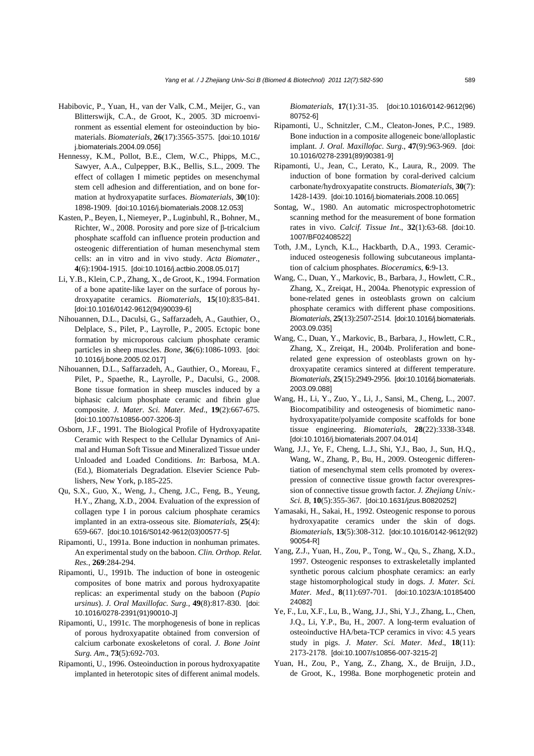- Habibovic, P., Yuan, H., van der Valk, C.M., Meijer, G., van Blitterswijk, C.A., de Groot, K., 2005. 3D microenvironment as essential element for osteoinduction by biomaterials. *Biomaterials*, **26**(17):3565-3575. [doi:10.1016/ j.biomaterials.2004.09.056]
- Hennessy, K.M., Pollot, B.E., Clem, W.C., Phipps, M.C., Sawyer, A.A., Culpepper, B.K., Bellis, S.L., 2009. The effect of collagen I mimetic peptides on mesenchymal stem cell adhesion and differentiation, and on bone formation at hydroxyapatite surfaces. *Biomaterials*, **30**(10): 1898-1909. [doi:10.1016/j.biomaterials.2008.12.053]
- Kasten, P., Beyen, I., Niemeyer, P., Luginbuhl, R., Bohner, M., Richter, W., 2008. Porosity and pore size of β-tricalcium phosphate scaffold can influence protein production and osteogenic differentiation of human mesenchymal stem cells: an in vitro and in vivo study. *Acta Biomater*., **4**(6):1904-1915. [doi:10.1016/j.actbio.2008.05.017]
- Li, Y.B., Klein, C.P., Zhang, X., de Groot, K., 1994. Formation of a bone apatite-like layer on the surface of porous hydroxyapatite ceramics. *Biomaterials*, **15**(10):835-841. [doi:10.1016/0142-9612(94)90039-6]
- Nihouannen, D.L., Daculsi, G., Saffarzadeh, A., Gauthier, O., Delplace, S., Pilet, P., Layrolle, P., 2005. Ectopic bone formation by microporous calcium phosphate ceramic particles in sheep muscles. *Bone*, **36**(6):1086-1093. [doi: 10.1016/j.bone.2005.02.017]
- Nihouannen, D.L., Saffarzadeh, A., Gauthier, O., Moreau, F., Pilet, P., Spaethe, R., Layrolle, P., Daculsi, G., 2008. Bone tissue formation in sheep muscles induced by a biphasic calcium phosphate ceramic and fibrin glue composite. *J. Mater. Sci. Mater. Med*., **19**(2):667-675. [doi:10.1007/s10856-007-3206-3]
- Osborn, J.F., 1991. The Biological Profile of Hydroxyapatite Ceramic with Respect to the Cellular Dynamics of Animal and Human Soft Tissue and Mineralized Tissue under Unloaded and Loaded Conditions. *In*: Barbosa, M.A. (Ed.), Biomaterials Degradation. Elsevier Science Publishers, New York, p.185-225.
- Qu, S.X., Guo, X., Weng, J., Cheng, J.C., Feng, B., Yeung, H.Y., Zhang, X.D., 2004. Evaluation of the expression of collagen type I in porous calcium phosphate ceramics implanted in an extra-osseous site. *Biomaterials*, **25**(4): 659-667. [doi:10.1016/S0142-9612(03)00577-5]
- Ripamonti, U., 1991a. Bone induction in nonhuman primates. An experimental study on the baboon. *Clin. Orthop. Relat. Res.*, **269**:284-294.
- Ripamonti, U., 1991b. The induction of bone in osteogenic composites of bone matrix and porous hydroxyapatite replicas: an experimental study on the baboon (*Papio ursinus*). *J. Oral Maxillofac. Surg.*, **49**(8):817-830. [doi: 10.1016/0278-2391(91)90010-J]
- Ripamonti, U., 1991c. The morphogenesis of bone in replicas of porous hydroxyapatite obtained from conversion of calcium carbonate exoskeletons of coral. *J. Bone Joint Surg. Am*., **73**(5):692-703.
- Ripamonti, U., 1996. Osteoinduction in porous hydroxyapatite implanted in heterotopic sites of different animal models.

*Biomaterials*, **17**(1):31-35. [doi:10.1016/0142-9612(96) 80752-6]

- Ripamonti, U., Schnitzler, C.M., Cleaton-Jones, P.C., 1989. Bone induction in a composite allogeneic bone/alloplastic implant. *J. Oral. Maxillofac. Surg*., **47**(9):963-969. [doi: 10.1016/0278-2391(89)90381-9]
- Ripamonti, U., Jean, C., Lerato, K., Laura, R., 2009. The induction of bone formation by coral-derived calcium carbonate/hydroxyapatite constructs. *Biomaterials*, **30**(7): 1428-1439. [doi:10.1016/j.biomaterials.2008.10.065]
- Sontag, W., 1980. An automatic microspectrophotometric scanning method for the measurement of bone formation rates in vivo. *Calcif. Tissue Int*., **32**(1):63-68. [doi:10. 1007/BF02408522]
- Toth, J.M., Lynch, K.L., Hackbarth, D.A., 1993. Ceramicinduced osteogenesis following subcutaneous implantation of calcium phosphates. *Bioceramics*, **6**:9-13.
- Wang, C., Duan, Y., Markovic, B., Barbara, J., Howlett, C.R., Zhang, X., Zreiqat, H., 2004a. Phenotypic expression of bone-related genes in osteoblasts grown on calcium phosphate ceramics with different phase compositions. *Biomaterials*, **25**(13):2507-2514. [doi:10.1016/j.biomaterials. 2003.09.035]
- Wang, C., Duan, Y., Markovic, B., Barbara, J., Howlett, C.R., Zhang, X., Zreiqat, H., 2004b. Proliferation and bonerelated gene expression of osteoblasts grown on hydroxyapatite ceramics sintered at different temperature. *Biomaterials*, **25**(15):2949-2956. [doi:10.1016/j.biomaterials. 2003.09.088]
- Wang, H., Li, Y., Zuo, Y., Li, J., Sansi, M., Cheng, L., 2007. Biocompatibility and osteogenesis of biomimetic nanohydroxyapatite/polyamide composite scaffolds for bone tissue engineering. *Biomaterials*, **28**(22):3338-3348. [doi:10.1016/j.biomaterials.2007.04.014]
- Wang, J.J., Ye, F., Cheng, L.J., Shi, Y.J., Bao, J., Sun, H.Q., Wang, W., Zhang, P., Bu, H., 2009. Osteogenic differentiation of mesenchymal stem cells promoted by overexpression of connective tissue growth factor overexpression of connective tissue growth factor. *J. Zhejiang Univ.- Sci. B*, **10**(5):355-367. [doi:10.1631/jzus.B0820252]
- Yamasaki, H., Sakai, H., 1992. Osteogenic response to porous hydroxyapatite ceramics under the skin of dogs. *Biomaterials*, **13**(5):308-312. [doi:10.1016/0142-9612(92) 90054-R]
- Yang, Z.J., Yuan, H., Zou, P., Tong, W., Qu, S., Zhang, X.D., 1997. Osteogenic responses to extraskeletally implanted synthetic porous calcium phosphate ceramics: an early stage histomorphological study in dogs. *J. Mater. Sci. Mater. Med*., **8**(11):697-701. [doi:10.1023/A:10185400 24082]
- Ye, F., Lu, X.F., Lu, B., Wang, J.J., Shi, Y.J., Zhang, L., Chen, J.Q., Li, Y.P., Bu, H., 2007. A long-term evaluation of osteoinductive HA/beta-TCP ceramics in vivo: 4.5 years study in pigs. *J. Mater. Sci. Mater. Med*., **18**(11): 2173-2178. [doi:10.1007/s10856-007-3215-2]
- Yuan, H., Zou, P., Yang, Z., Zhang, X., de Bruijn, J.D., de Groot, K., 1998a. Bone morphogenetic protein and